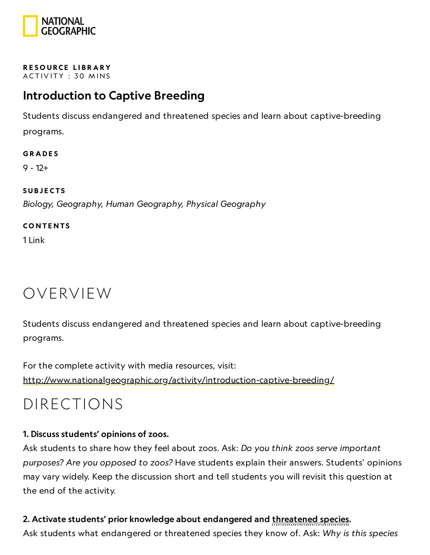

#### RESOURCE LIBRA[RY](https://www.nationalgeographic.org/education/resource-library/) ACTIVITY: 30 MINS

### Introduction to Captive Breeding

Students discuss endangered and threatened species and learn about captive-breeding programs.

#### **GRADES**

9 - 12+

### **SUBJECTS**

Biology, Geography, Human Geography, Physical Geography

#### **CONTENTS**

1 Link

### OVERVIEW

Students discuss endangered and threatened species and learn about captive-breeding programs.

For the complete activity with media resources, visit: <http://www.nationalgeographic.org/activity/introduction-captive-breeding/>

### DIRECTIONS

### 1. Discuss students' opinions of zoos.

Ask students to share how they feel about zoos. Ask: Do you think zoos serve important purposes? Are you opposed to zoos? Have students explain their answers. Students' opinions may vary widely. Keep the discussion short and tell students you will revisit this question at the end of the activity.

### 2. Activate students' prior knowledge about endangered and threatened species.

Ask students what endangered or threatened species they know of. Ask: Why is this species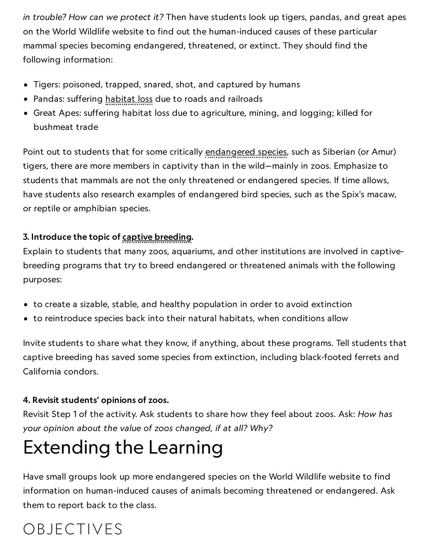in trouble? How can we protect it? Then have students look up tigers, pandas, and great apes on the World Wildlife website to find out the human-induced causes of these particular mammal species becoming endangered, threatened, or extinct. They should find the following information:

- Tigers: poisoned, trapped, snared, shot, and captured by humans
- Pandas: suffering habitat loss due to roads and railroads
- Great Apes: suffering habitat loss due to agriculture, mining, and logging; killed for bushmeat trade

Point out to students that for some critically endangered species, such as Siberian (or Amur) tigers, there are more members in captivity than in the wild—mainly in zoos. Emphasize to students that mammals are not the only threatened or endangered species. If time allows, have students also research examples of endangered bird species, such as the Spix's macaw, or reptile or amphibian species.

### 3. Introduce the topic of captive breeding.

Explain to students that many zoos, aquariums, and other institutions are involved in captivebreeding programs that try to breed endangered or threatened animals with the following purposes:

- to create a sizable, stable, and healthy population in order to avoid extinction
- to reintroduce species back into their natural habitats, when conditions allow

Invite students to share what they know, if anything, about these programs. Tell students that captive breeding has saved some species from extinction, including black-footed ferrets and California condors.

### 4. Revisit students' opinions of zoos.

Revisit Step 1 of the activity. Ask students to share how they feel about zoos. Ask: How has your opinion about the value of zoos changed, if at all? Why?

## Extending the Learning

Have small groups look up more endangered species on the World Wildlife website to find information on human-induced causes of animals becoming threatened or endangered. Ask them to report back to the class.

## OBJECTIVES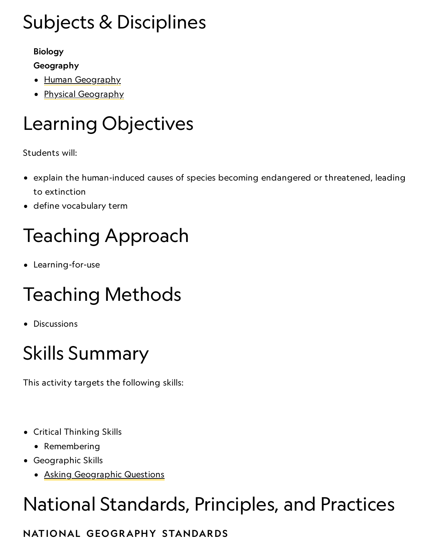# Subjects & Disciplines

### Biology

### Geography

- Human [Geography](https://www.nationalgeographic.org/encyclopedia/geography/)
- Physical [Geography](http://education.nationalgeographic.com/education/encyclopedia/geography/?ar_a=1)

# Learning Objectives

Students will:

- explain the human-induced causes of species becoming endangered or threatened, leading to extinction
- define vocabulary term

# Teaching Approach

Learning-for-use

# Teaching Methods

• Discussions

# Skills Summary

This activity targets the following skills:

- Critical Thinking Skills
	- Remembering
- Geographic Skills
	- Asking [Geographic](http://education.nationalgeographic.com/education/geographic-skills/1/?ar_a=1) Questions

# National Standards, Principles, and Practices

### NATIONAL GEOGRAPHY STANDARDS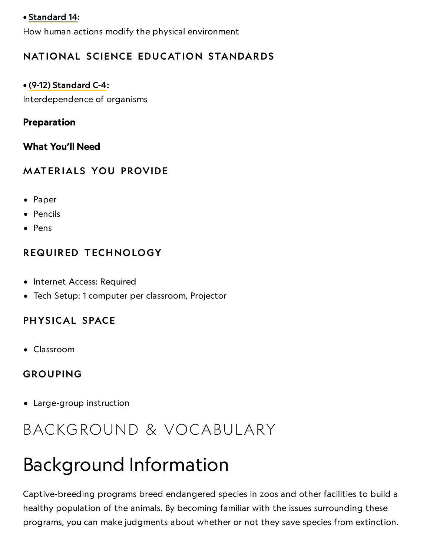### • [Standard](https://www.nationalgeographic.org/education/standards/national-geography-standards/14/) 14:

How human actions modify the physical environment

### NATIONAL SCIENCE EDUCATION STANDARDS

### • (9-12) [Standard](http://www.nap.edu/openbook.php?record_id=4962&page=181) C-4:

Interdependence of organisms

### Preparation

### What You'll Need

### **MATERIALS YOU PROVIDE**

- Paper
- Pencils
- Pens

### REQUIRED TECHNOLOGY

- Internet Access: Required
- Tech Setup: 1 computer per classroom, Projector

### PHYSICAL SPACE

Classroom

### GROUPING

Large-group instruction

### BACKGROUND & VOCABULARY

## Background Information

Captive-breeding programs breed endangered species in zoos and other facilities to build a healthy population of the animals. By becoming familiar with the issues surrounding these programs, you can make judgments about whether or not they save species from extinction.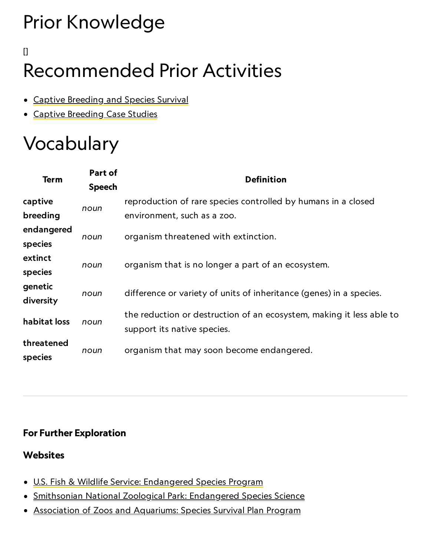# Prior Knowledge

## [] Recommended Prior Activities

- Captive [Breeding](https://www.nationalgeographic.org/activity/captive-breeding-species-survival/) and Species Survival
- Captive [Breeding](https://www.nationalgeographic.org/activity/captive-breeding-case-studies/) Case Studies

# Vocabulary

| <b>Term</b>           | Part of<br><b>Speech</b> | <b>Definition</b>                                                                                   |
|-----------------------|--------------------------|-----------------------------------------------------------------------------------------------------|
| captive               | noun                     | reproduction of rare species controlled by humans in a closed                                       |
| breeding              |                          | environment, such as a zoo.                                                                         |
| endangered<br>species | noun                     | organism threatened with extinction.                                                                |
| extinct<br>species    | noun                     | organism that is no longer a part of an ecosystem.                                                  |
| genetic<br>diversity  | noun                     | difference or variety of units of inheritance (genes) in a species.                                 |
| habitat loss          | noun                     | the reduction or destruction of an ecosystem, making it less able to<br>support its native species. |
| threatened<br>species | noun                     | organism that may soon become endangered.                                                           |

### For Further Exploration

### **Websites**

- U.S. Fish & Wildlife [Service: Endangered](http://www.fws.gov/endangered/) Species Program
- · Smithsonian National Zoological [Park: Endangered](http://nationalzoo.si.edu/SCBI/endangeredspecies/default.cfm) Species Science
- Association of Zoos and [Aquariums: Species](http://www.aza.org/species-survival-plan-program/) Survival Plan Program